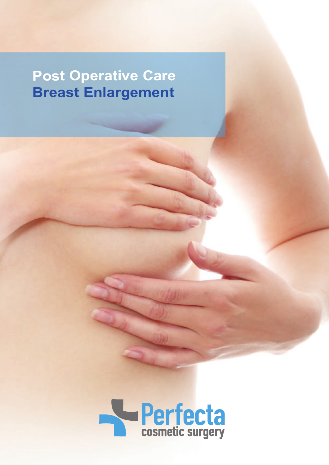## **Post Operative Care Breast Enlargement**

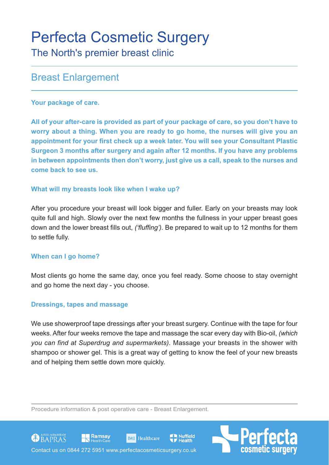# Perfecta Cosmetic Surgery

The North's premier breast clinic

### Breast Enlargement

#### **Your package of care.**

**All of your after-care is provided as part of your package of care, so you don't have to worry about a thing. When you are ready to go home, the nurses will give you an appointment for your first check up a week later. You will see your Consultant Plastic Surgeon 3 months after surgery and again after 12 months. If you have any problems in between appointments then don't worry, just give us a call, speak to the nurses and come back to see us.**

#### **What will my breasts look like when I wake up?**

After you procedure your breast will look bigger and fuller. Early on your breasts may look quite full and high. Slowly over the next few months the fullness in your upper breast goes down and the lower breast fills out, *('fluffing').* Be prepared to wait up to 12 months for them to settle fully.

#### **When can I go home?**

Most clients go home the same day, once you feel ready. Some choose to stay overnight and go home the next day - you choose.

#### **Dressings, tapes and massage**

We use showerproof tape dressings after your breast surgery. Continue with the tape for four weeks. After four weeks remove the tape and massage the scar every day with Bio-oil, *(which you can find at Superdrug and supermarkets)*. Massage your breasts in the shower with shampoo or shower gel. This is a great way of getting to know the feel of your new breasts and of helping them settle down more quickly.

**Nuffield** 

Procedure information & post operative care - Breast Enlargement.

**BMI** Healthcare





Ramsay

GOBAPRAS